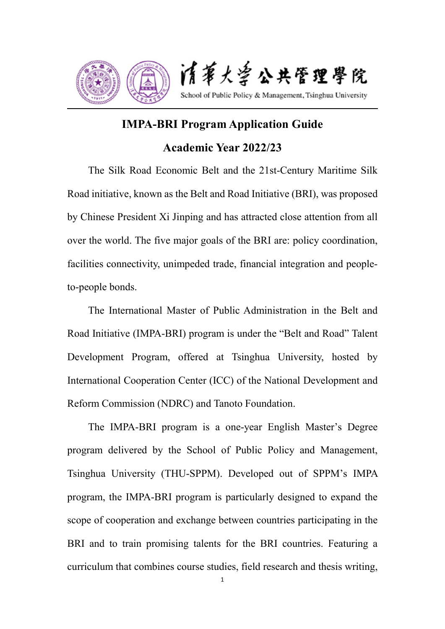

# **IMPA-BRI Program Application Guide Academic Year 2022/23**

The Silk Road Economic Belt and the 21st-Century Maritime Silk Road initiative, known as the Belt and Road Initiative (BRI), was proposed by Chinese President Xi Jinping and has attracted close attention from all over the world. The five major goals of the BRI are: policy coordination, facilities connectivity, unimpeded trade, financial integration and peopleto-people bonds.

The International Master of Public Administration in the Belt and Road Initiative (IMPA-BRI) program is under the "Belt and Road" Talent Development Program, offered at Tsinghua University, hosted by International Cooperation Center (ICC) of the National Development and Reform Commission (NDRC) and Tanoto Foundation.

The IMPA-BRI program is a one-year English Master's Degree program delivered by the School of Public Policy and Management, Tsinghua University (THU-SPPM). Developed out of SPPM's IMPA program, the IMPA-BRI program is particularly designed to expand the scope of cooperation and exchange between countries participating in the BRI and to train promising talents for the BRI countries. Featuring a curriculum that combines course studies, field research and thesis writing,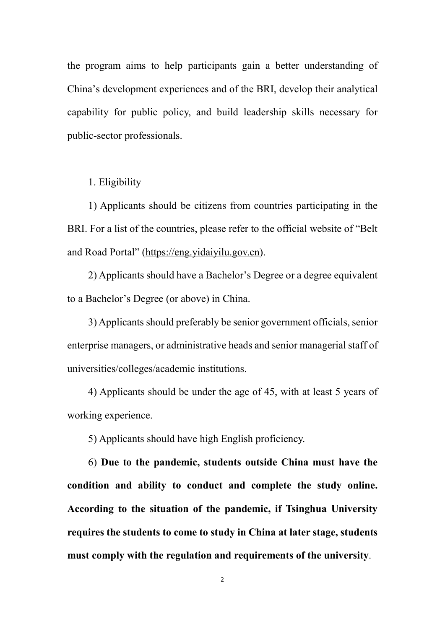the program aims to help participants gain a better understanding of China's development experiences and of the BRI, develop their analytical capability for public policy, and build leadership skills necessary for public-sector professionals.

1. Eligibility

1) Applicants should be citizens from countries participating in the BRI. For a list of the countries, please refer to the official website of "Belt and Road Portal" (https://eng.yidaiyilu.gov.cn).

2) Applicants should have a Bachelor's Degree or a degree equivalent to a Bachelor's Degree (or above) in China.

3) Applicants should preferably be senior government officials, senior enterprise managers, or administrative heads and senior managerial staff of universities/colleges/academic institutions.

4) Applicants should be under the age of 45, with at least 5 years of working experience.

5) Applicants should have high English proficiency.

6) **Due to the pandemic, students outside China must have the condition and ability to conduct and complete the study online. According to the situation of the pandemic, if Tsinghua University requires the students to come to study in China at later stage, students must comply with the regulation and requirements of the university**.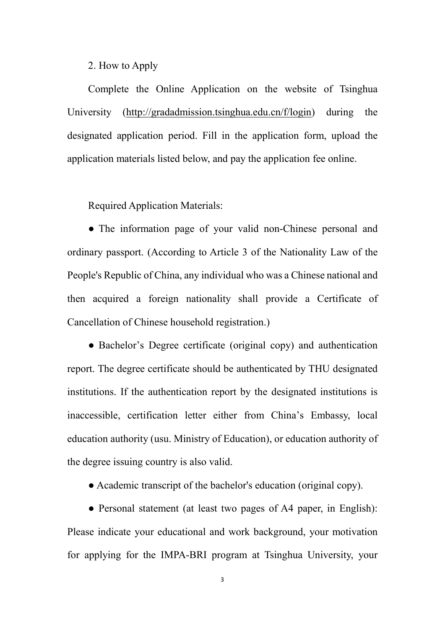#### 2. How to Apply

Complete the Online Application on the website of Tsinghua University (http://gradadmission.tsinghua.edu.cn/f/login) during the designated application period. Fill in the application form, upload the application materials listed below, and pay the application fee online.

Required Application Materials:

• The information page of your valid non-Chinese personal and ordinary passport. (According to Article 3 of the Nationality Law of the People's Republic of China, any individual who was a Chinese national and then acquired a foreign nationality shall provide a Certificate of Cancellation of Chinese household registration.)

• Bachelor's Degree certificate (original copy) and authentication report. The degree certificate should be authenticated by THU designated institutions. If the authentication report by the designated institutions is inaccessible, certification letter either from China's Embassy, local education authority (usu. Ministry of Education), or education authority of the degree issuing country is also valid.

● Academic transcript of the bachelor's education (original copy).

• Personal statement (at least two pages of A4 paper, in English): Please indicate your educational and work background, your motivation for applying for the IMPA-BRI program at Tsinghua University, your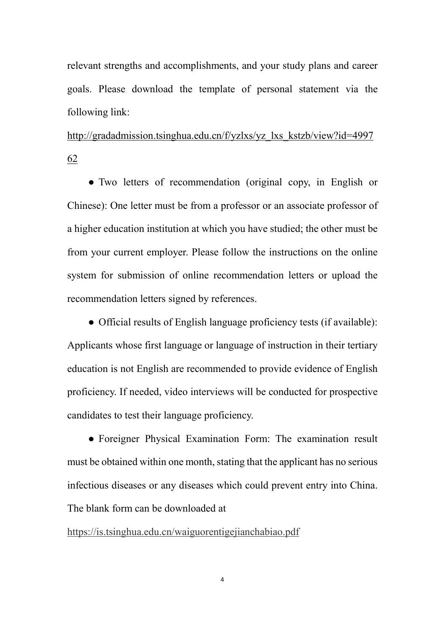relevant strengths and accomplishments, and your study plans and career goals. Please download the template of personal statement via the following link:

http://gradadmission.tsinghua.edu.cn/f/yzlxs/yz\_lxs\_kstzb/view?id=4997 62

● Two letters of recommendation (original copy, in English or Chinese): One letter must be from a professor or an associate professor of a higher education institution at which you have studied; the other must be from your current employer. Please follow the instructions on the online system for submission of online recommendation letters or upload the recommendation letters signed by references.

• Official results of English language proficiency tests (if available): Applicants whose first language or language of instruction in their tertiary education is not English are recommended to provide evidence of English proficiency. If needed, video interviews will be conducted for prospective candidates to test their language proficiency.

● Foreigner Physical Examination Form: The examination result must be obtained within one month, stating that the applicant has no serious infectious diseases or any diseases which could prevent entry into China. The blank form can be downloaded at

https://is.tsinghua.edu.cn/waiguorentigejianchabiao.pdf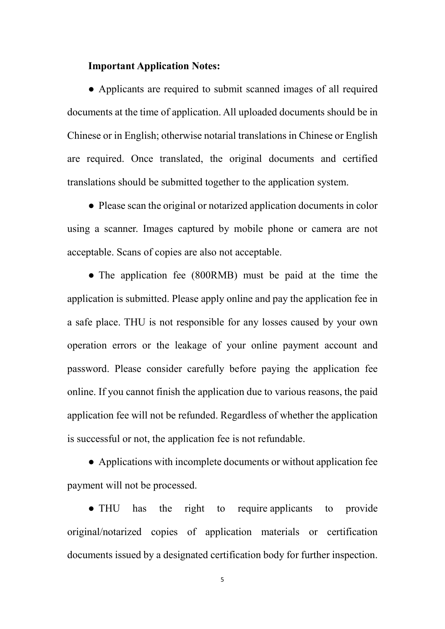#### **Important Application Notes:**

● Applicants are required to submit scanned images of all required documents at the time of application. All uploaded documents should be in Chinese or in English; otherwise notarial translations in Chinese or English are required. Once translated, the original documents and certified translations should be submitted together to the application system.

• Please scan the original or notarized application documents in color using a scanner. Images captured by mobile phone or camera are not acceptable. Scans of copies are also not acceptable.

• The application fee (800RMB) must be paid at the time the application is submitted. Please apply online and pay the application fee in a safe place. THU is not responsible for any losses caused by your own operation errors or the leakage of your online payment account and password. Please consider carefully before paying the application fee online. If you cannot finish the application due to various reasons, the paid application fee will not be refunded. Regardless of whether the application is successful or not, the application fee is not refundable.

● Applications with incomplete documents or without application fee payment will not be processed.

● THU has the right to require applicants to provide original/notarized copies of application materials or certification documents issued by a designated certification body for further inspection.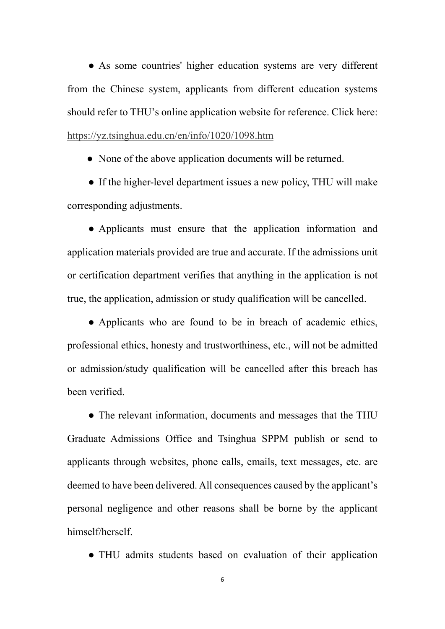• As some countries' higher education systems are very different from the Chinese system, applicants from different education systems should refer to THU's online application website for reference. Click here: https://yz.tsinghua.edu.cn/en/info/1020/1098.htm

• None of the above application documents will be returned.

● If the higher-level department issues a new policy, THU will make corresponding adjustments.

● Applicants must ensure that the application information and application materials provided are true and accurate. If the admissions unit or certification department verifies that anything in the application is not true, the application, admission or study qualification will be cancelled.

• Applicants who are found to be in breach of academic ethics, professional ethics, honesty and trustworthiness, etc., will not be admitted or admission/study qualification will be cancelled after this breach has been verified.

• The relevant information, documents and messages that the THU Graduate Admissions Office and Tsinghua SPPM publish or send to applicants through websites, phone calls, emails, text messages, etc. are deemed to have been delivered. All consequences caused by the applicant's personal negligence and other reasons shall be borne by the applicant himself/herself.

● THU admits students based on evaluation of their application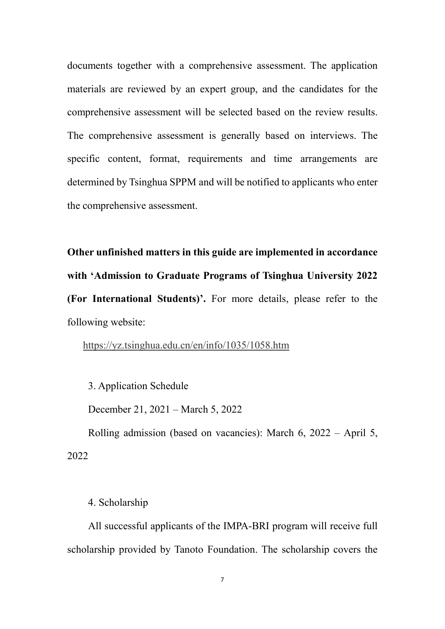documents together with a comprehensive assessment. The application materials are reviewed by an expert group, and the candidates for the comprehensive assessment will be selected based on the review results. The comprehensive assessment is generally based on interviews. The specific content, format, requirements and time arrangements are determined by Tsinghua SPPM and will be notified to applicants who enter the comprehensive assessment.

**Other unfinished matters in this guide are implemented in accordance with 'Admission to Graduate Programs of Tsinghua University 2022 (For International Students)'.** For more details, please refer to the following website:

https://yz.tsinghua.edu.cn/en/info/1035/1058.htm

3. Application Schedule

December 21, 2021 – March 5, 2022

Rolling admission (based on vacancies): March 6, 2022 – April 5, 2022

4. Scholarship

All successful applicants of the IMPA-BRI program will receive full scholarship provided by Tanoto Foundation. The scholarship covers the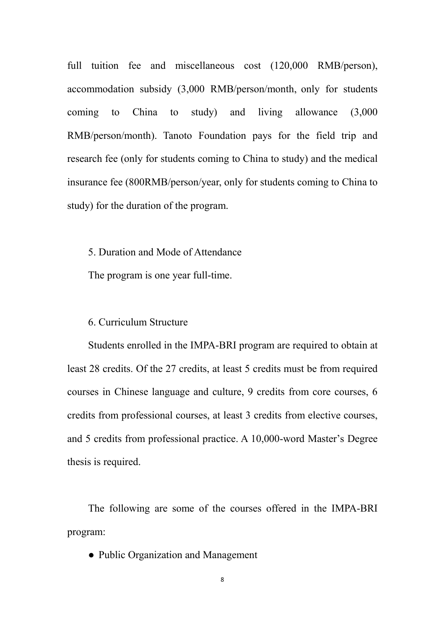full tuition fee and miscellaneous cost (120,000 RMB/person), accommodation subsidy (3,000 RMB/person/month, only for students coming to China to study) and living allowance (3,000 RMB/person/month). Tanoto Foundation pays for the field trip and research fee (only for students coming to China to study) and the medical insurance fee (800RMB/person/year, only for students coming to China to study) for the duration of the program.

5. Duration and Mode of Attendance

The program is one year full-time.

#### 6. Curriculum Structure

Students enrolled in the IMPA-BRI program are required to obtain at least 28 credits. Of the 27 credits, at least 5 credits must be from required courses in Chinese language and culture, 9 credits from core courses, 6 credits from professional courses, at least 3 credits from elective courses, and 5 credits from professional practice. A 10,000-word Master's Degree thesis is required.

The following are some of the courses offered in the IMPA-BRI program:

• Public Organization and Management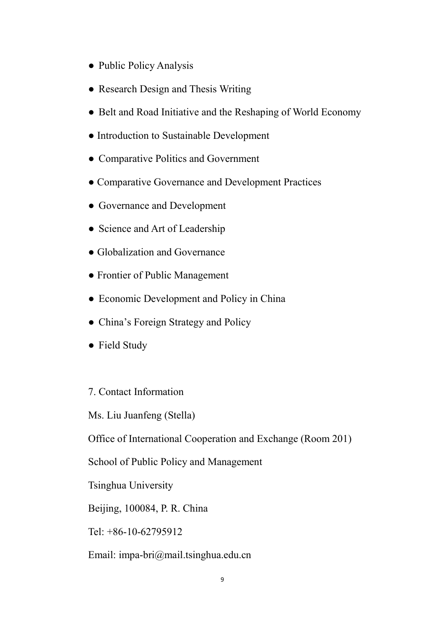- Public Policy Analysis
- Research Design and Thesis Writing
- Belt and Road Initiative and the Reshaping of World Economy
- Introduction to Sustainable Development
- Comparative Politics and Government
- Comparative Governance and Development Practices
- Governance and Development
- Science and Art of Leadership
- Globalization and Governance
- Frontier of Public Management
- Economic Development and Policy in China
- China's Foreign Strategy and Policy
- Field Study

### 7. Contact Information

Ms. Liu Juanfeng (Stella)

Office of International Cooperation and Exchange (Room 201)

School of Public Policy and Management

Tsinghua University

Beijing, 100084, P. R. China

Tel: +86-10-62795912

Email: impa-bri@mail.tsinghua.edu.cn